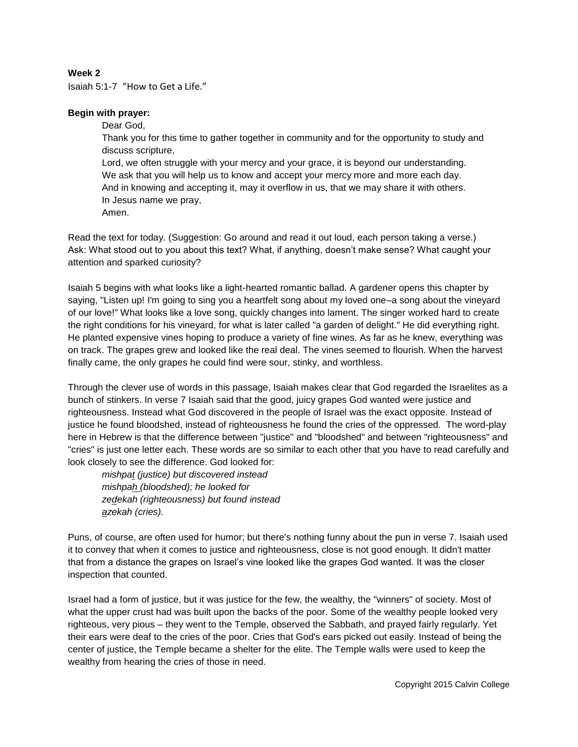## **Week 2**

Isaiah 5:1-7 "How to Get a Life."

## **Begin with prayer:**

Dear God, Thank you for this time to gather together in community and for the opportunity to study and discuss scripture, Lord, we often struggle with your mercy and your grace, it is beyond our understanding. We ask that you will help us to know and accept your mercy more and more each day. And in knowing and accepting it, may it overflow in us, that we may share it with others. In Jesus name we pray, Amen.

Read the text for today. (Suggestion: Go around and read it out loud, each person taking a verse.) Ask: What stood out to you about this text? What, if anything, doesn't make sense? What caught your attention and sparked curiosity?

Isaiah 5 begins with what looks like a light-hearted romantic ballad. A gardener opens this chapter by saying, "Listen up! I'm going to sing you a heartfelt song about my loved one–a song about the vineyard of our love!" What looks like a love song, quickly changes into lament. The singer worked hard to create the right conditions for his vineyard, for what is later called "a garden of delight." He did everything right. He planted expensive vines hoping to produce a variety of fine wines. As far as he knew, everything was on track. The grapes grew and looked like the real deal. The vines seemed to flourish. When the harvest finally came, the only grapes he could find were sour, stinky, and worthless.

Through the clever use of words in this passage, Isaiah makes clear that God regarded the Israelites as a bunch of stinkers. In verse 7 Isaiah said that the good, juicy grapes God wanted were justice and righteousness. Instead what God discovered in the people of Israel was the exact opposite. Instead of justice he found bloodshed, instead of righteousness he found the cries of the oppressed. The word-play here in Hebrew is that the difference between "justice" and "bloodshed" and between "righteousness" and "cries" is just one letter each. These words are so similar to each other that you have to read carefully and look closely to see the difference. God looked for:

*mishpat (justice) but discovered instead mishpah (bloodshed); he looked for zedekah (righteousness) but found instead azekah (cries).*

Puns, of course, are often used for humor; but there's nothing funny about the pun in verse 7. Isaiah used it to convey that when it comes to justice and righteousness, close is not good enough. It didn't matter that from a distance the grapes on Israel's vine looked like the grapes God wanted. It was the closer inspection that counted.

Israel had a form of justice, but it was justice for the few, the wealthy, the "winners" of society. Most of what the upper crust had was built upon the backs of the poor. Some of the wealthy people looked very righteous, very pious – they went to the Temple, observed the Sabbath, and prayed fairly regularly. Yet their ears were deaf to the cries of the poor. Cries that God's ears picked out easily. Instead of being the center of justice, the Temple became a shelter for the elite. The Temple walls were used to keep the wealthy from hearing the cries of those in need.